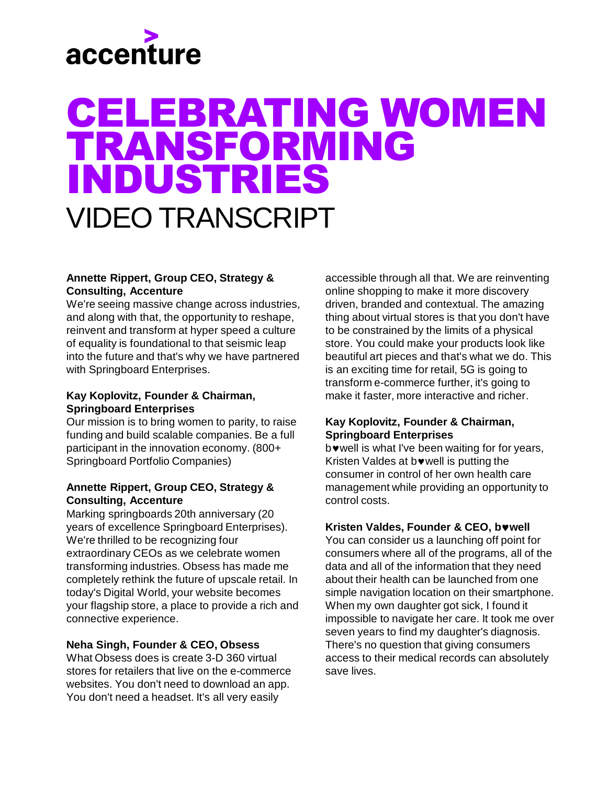# accenture

# CELEBRATING WOMEN TRANSFORMING INDUSTRIES VIDEO TRANSCRIPT

### **Annette Rippert, Group CEO, Strategy & Consulting, Accenture**

We're seeing massive change across industries, and along with that, the opportunity to reshape, reinvent and transform at hyper speed a culture of equality is foundational to that seismic leap into the future and that's why we have partnered with Springboard Enterprises.

### **Kay Koplovitz, Founder & Chairman, Springboard Enterprises**

Our mission is to bring women to parity, to raise funding and build scalable companies. Be a full participant in the innovation economy. (800+ Springboard Portfolio Companies)

### **Annette Rippert, Group CEO, Strategy & Consulting, Accenture**

Marking springboards 20th anniversary (20 years of excellence Springboard Enterprises). We're thrilled to be recognizing four extraordinary CEOs as we celebrate women transforming industries. Obsess has made me completely rethink the future of upscale retail. In today's Digital World, your website becomes your flagship store, a place to provide a rich and connective experience.

# **Neha Singh, Founder & CEO, Obsess**

What Obsess does is create 3-D 360 virtual stores for retailers that live on the e-commerce websites. You don't need to download an app. You don't need a headset. It's all very easily

accessible through all that. We are reinventing online shopping to make it more discovery driven, branded and contextual. The amazing thing about virtual stores is that you don't have to be constrained by the limits of a physical store. You could make your products look like beautiful art pieces and that's what we do. This is an exciting time for retail, 5G is going to transform e-commerce further, it's going to make it faster, more interactive and richer.

# **Kay Koplovitz, Founder & Chairman, Springboard Enterprises**

bwell is what I've been waiting for for years, Kristen Valdes at bowell is putting the consumer in control of her own health care management while providing an opportunity to control costs.

### **Kristen Valdes, Founder & CEO, bwell**

You can consider us a launching off point for consumers where all of the programs, all of the data and all of the information that they need about their health can be launched from one simple navigation location on their smartphone. When my own daughter got sick, I found it impossible to navigate her care. It took me over seven years to find my daughter's diagnosis. There's no question that giving consumers access to their medical records can absolutely save lives.